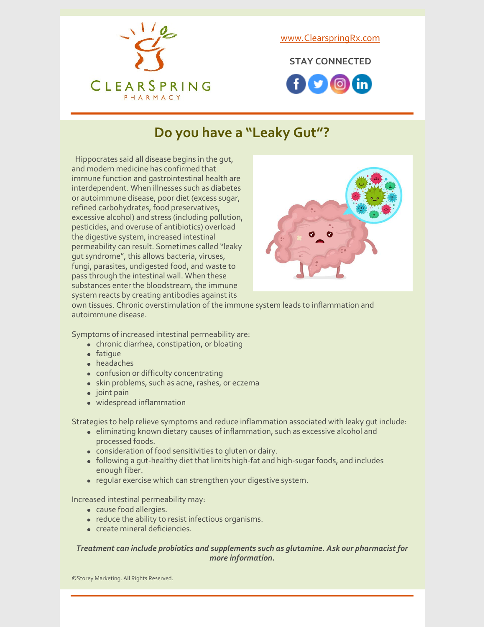

[www.ClearspringRx.com](https://www.clearspringrx.com)

**STAY CONNECTED**



### **Do you have a "Leaky Gut"?**

Hippocrates said all disease begins in the gut, and modern medicine has confirmed that immune function and gastrointestinal health are interdependent. When illnesses such as diabetes or autoimmune disease, poor diet (excess sugar, refined carbohydrates, food preservatives, excessive alcohol) and stress (including pollution, pesticides, and overuse of antibiotics) overload the digestive system, increased intestinal permeability can result. Sometimes called "leaky gut syndrome", this allows bacteria, viruses, fungi, parasites, undigested food, and waste to pass through the intestinal wall. When these substances enter the bloodstream, the immune system reacts by creating antibodies against its



own tissues. Chronic overstimulation of the immune system leads to inflammation and autoimmune disease.

Symptoms of increased intestinal permeability are:

- chronic diarrhea, constipation, or bloating
- fatique
- headaches
- confusion or difficulty concentrating
- skin problems, such as acne, rashes, or eczema
- $\bullet$  joint pain
- widespread inflammation

Strategies to help relieve symptoms and reduce inflammation associated with leaky gut include:

- eliminating known dietary causes of inflammation, such as excessive alcohol and processed foods.
- consideration of food sensitivities to gluten or dairy.
- following a gut-healthy diet that limits high-fat and high-sugar foods, and includes enough fiber.
- regular exercise which can strengthen your digestive system.

Increased intestinal permeability may:

- cause food allergies.
- reduce the ability to resist infectious organisms.
- create mineral deficiencies.

#### *Treatment can include probiotics and supplements such as glutamine. Ask our pharmacist for more information.*

©Storey Marketing. All Rights Reserved.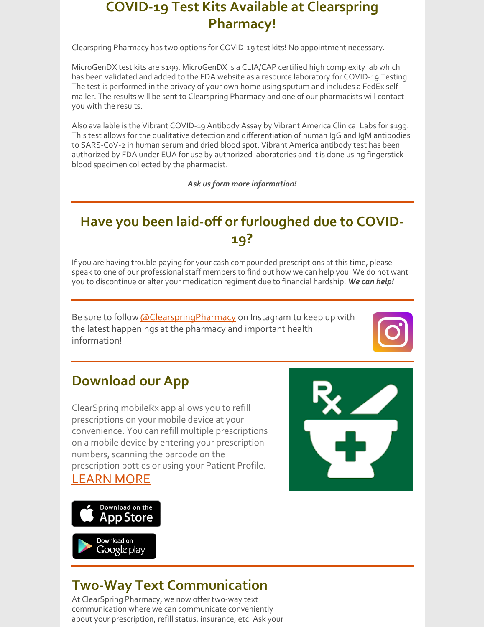#### **COVID-19 Test Kits Available at Clearspring Pharmacy!**

Clearspring Pharmacy has two options for COVID-19 test kits! No appointment necessary.

MicroGenDX test kits are \$199. MicroGenDX is a CLIA/CAP certified high complexity lab which has been validated and added to the FDA website as a resource laboratory for COVID-19 Testing. The test is performed in the privacy of your own home using sputum and includes a FedEx selfmailer. The results will be sent to Clearspring Pharmacy and one of our pharmacists will contact you with the results.

Also available is the Vibrant COVID-19 Antibody Assay by Vibrant America Clinical Labs for \$199. This test allows for the qualitative detection and differentiation of human IgG and IgM antibodies to SARS-CoV-2 in human serum and dried blood spot. Vibrant America antibody test has been authorized by FDA under EUA for use by authorized laboratories and it is done using fingerstick blood specimen collected by the pharmacist.

*Ask us form more information!*

# **Have you been laid-off or furloughed due to COVID-19?**

If you are having trouble paying for your cash compounded prescriptions at this time, please speak to one of our professional staff members to find out how we can help you. We do not want you to discontinue or alter your medication regiment due to financial hardship. *We can help!*

Be sure to follow **[@ClearspringPharmacy](https://www.instagram.com/clearspringpharmacy/)** on Instagram to keep up with the latest happenings at the pharmacy and important health information!



## **Download our App**

ClearSpring mobileRx app allows you to refill prescriptions on your mobile device at your convenience. You can refill multiple prescriptions on a mobile device by entering your prescription numbers, scanning the barcode on the prescription bottles or using your Patient Profile. [LEARN](https://clearspringrx.com/app.php) MORE





Download on Google play

# **Two-Way Text Communication**

At ClearSpring Pharmacy, we now offer two-way text communication where we can communicate conveniently about your prescription, refill status, insurance, etc. Ask your